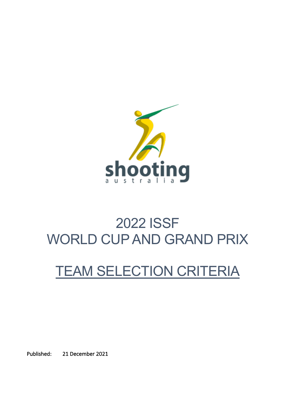

# 2022 ISSF WORLD CUP AND GRAND PRIX

## TEAM SELECTION CRITERIA

Published: 21 December 2021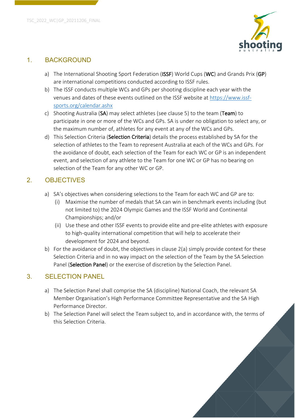

#### 1. BACKGROUND

- a) The International Shooting Sport Federation (ISSF) World Cups (WC) and Grands Prix (GP) are international competitions conducted according to ISSF rules.
- b) The ISSF conducts multiple WCs and GPs per shooting discipline each year with the venues and dates of these events outlined on the ISSF website at https://www.issfsports.org/calendar.ashx
- c) Shooting Australia (SA) may select athletes (see clause 5) to the team (Team) to participate in one or more of the WCs and GPs. SA is under no obligation to select any, or the maximum number of, athletes for any event at any of the WCs and GPs.
- d) This Selection Criteria (Selection Criteria) details the process established by SA for the selection of athletes to the Team to represent Australia at each of the WCs and GPs. For the avoidance of doubt, each selection of the Team for each WC or GP is an independent event, and selection of any athlete to the Team for one WC or GP has no bearing on selection of the Team for any other WC or GP.

## 2. OBJECTIVES

- a) SA's objectives when considering selections to the Team for each WC and GP are to:
	- (i) Maximise the number of medals that SA can win in benchmark events including (but not limited to) the 2024 Olympic Games and the ISSF World and Continental Championships; and/or
	- (ii) Use these and other ISSF events to provide elite and pre-elite athletes with exposure to high-quality international competition that will help to accelerate their development for 2024 and beyond.
- b) For the avoidance of doubt, the objectives in clause 2(a) simply provide context for these Selection Criteria and in no way impact on the selection of the Team by the SA Selection Panel (Selection Panel) or the exercise of discretion by the Selection Panel.

## 3. SELECTION PANEL

- a) The Selection Panel shall comprise the SA (discipline) National Coach, the relevant SA Member Organisation's High Performance Committee Representative and the SA High Performance Director.
- b) The Selection Panel will select the Team subject to, and in accordance with, the terms of this Selection Criteria.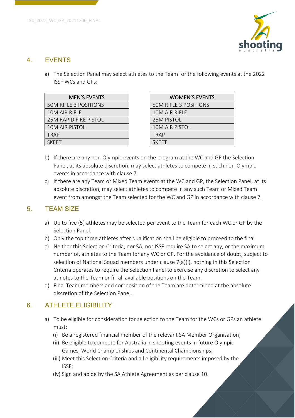



## 4. EVENTS

a) The Selection Panel may select athletes to the Team for the following events at the 2022 ISSF WCs and GPs:

| <b>MEN'S EVENTS</b>          | <b>WOMEN'S EVEN</b>          |
|------------------------------|------------------------------|
| <b>50M RIFLE 3 POSITIONS</b> | <b>50M RIFLE 3 POSITIONS</b> |
| 10M AIR RIFLE                | 10M AIR RIFLE                |
| 25M RAPID FIRE PISTOL        | 25M PISTOL                   |
| 10M AIR PISTOL               | 10M AIR PISTOL               |
| TRAP                         | <b>TRAP</b>                  |
| <b>SKFFT</b>                 | <b>SKFFT</b>                 |
|                              |                              |

| <b>MEN'S EVENTS</b>   | <b>WOMEN'S EVENTS</b>        |
|-----------------------|------------------------------|
| E 3 POSITIONS         | <b>50M RIFLE 3 POSITIONS</b> |
| RIFLE                 | 10M AIR RIFLE                |
| <b>ID FIRE PISTOL</b> | <b>25M PISTOL</b>            |
| <b>PISTOL</b>         | <b>10M AIR PISTOL</b>        |
|                       | <b>TRAP</b>                  |
|                       | <b>SKFFT</b>                 |
|                       |                              |

- b) If there are any non-Olympic events on the program at the WC and GP the Selection Panel, at its absolute discretion, may select athletes to compete in such non-Olympic events in accordance with clause 7.
- c) If there are any Team or Mixed Team events at the WC and GP, the Selection Panel, at its absolute discretion, may select athletes to compete in any such Team or Mixed Team event from amongst the Team selected for the WC and GP in accordance with clause 7.

#### 5. TEAM SIZE

- a) Up to five (5) athletes may be selected per event to the Team for each WC or GP by the Selection Panel.
- b) Only the top three athletes after qualification shall be eligible to proceed to the final.
- c) Neither this Selection Criteria, nor SA, nor ISSF require SA to select any, or the maximum number of, athletes to the Team for any WC or GP. For the avoidance of doubt, subject to selection of National Squad members under clause 7(a)(i), nothing in this Selection Criteria operates to require the Selection Panel to exercise any discretion to select any athletes to the Team or fill all available positions on the Team.
- d) Final Team members and composition of the Team are determined at the absolute discretion of the Selection Panel.

### 6. ATHLETE ELIGIBILITY

- a) To be eligible for consideration for selection to the Team for the WCs or GPs an athlete must:
	- (i) Be a registered financial member of the relevant SA Member Organisation;
	- (ii) Be eligible to compete for Australia in shooting events in future Olympic Games, World Championships and Continental Championships;
	- (iii) Meet this Selection Criteria and all eligibility requirements imposed by the ISSF;
	- (iv) Sign and abide by the SA Athlete Agreement as per clause 10.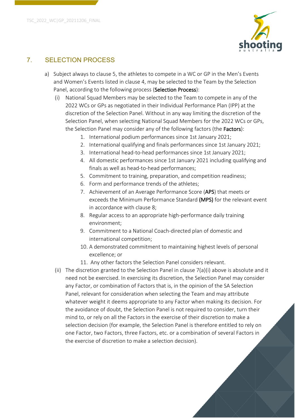

## 7. SELECTION PROCESS

- a) Subject always to clause 5, the athletes to compete in a WC or GP in the Men's Events and Women's Events listed in clause 4, may be selected to the Team by the Selection Panel, according to the following process (Selection Process):
	- (i) National Squad Members may be selected to the Team to compete in any of the 2022 WCs or GPs as negotiated in their Individual Performance Plan (IPP) at the discretion of the Selection Panel. Without in any way limiting the discretion of the Selection Panel, when selecting National Squad Members for the 2022 WCs or GPs, the Selection Panel may consider any of the following factors (the Factors):
		- 1. International podium performances since 1st January 2021;
		- 2. International qualifying and finals performances since 1st January 2021;
		- 3. International head-to-head performances since 1st January 2021;
		- 4. All domestic performances since 1st January 2021 including qualifying and finals as well as head-to-head performances;
		- 5. Commitment to training, preparation, and competition readiness;
		- 6. Form and performance trends of the athletes;
		- 7. Achievement of an Average Performance Score (APS) that meets or exceeds the Minimum Performance Standard (MPS) for the relevant event in accordance with clause 8;
		- 8. Regular access to an appropriate high-performance daily training environment;
		- 9. Commitment to a National Coach-directed plan of domestic and international competition;
		- 10. A demonstrated commitment to maintaining highest levels of personal excellence; or
		- 11. Any other factors the Selection Panel considers relevant.
	- (ii) The discretion granted to the Selection Panel in clause  $7(a)(i)$  above is absolute and it need not be exercised. In exercising its discretion, the Selection Panel may consider any Factor, or combination of Factors that is, in the opinion of the SA Selection Panel, relevant for consideration when selecting the Team and may attribute whatever weight it deems appropriate to any Factor when making its decision. For the avoidance of doubt, the Selection Panel is not required to consider, turn their mind to, or rely on all the Factors in the exercise of their discretion to make a selection decision (for example, the Selection Panel is therefore entitled to rely on one Factor, two Factors, three Factors, etc. or a combination of several Factors in the exercise of discretion to make a selection decision).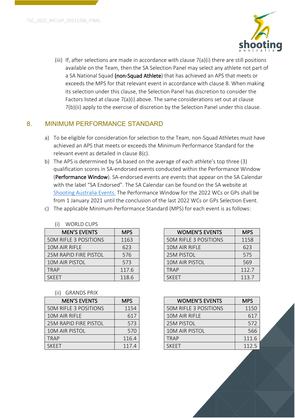

(iii) If, after selections are made in accordance with clause 7(a)(i) there are still positions available on the Team, then the SA Selection Panel may select any athlete not part of a SA National Squad (non-Squad Athlete) that has achieved an APS that meets or exceeds the MPS for that relevant event in accordance with clause 8. When making its selection under this clause, the Selection Panel has discretion to consider the Factors listed at clause 7(a)(i) above. The same considerations set out at clause 7(b)(ii) apply to the exercise of discretion by the Selection Panel under this clause.

## 8. MINIMUM PERFORMANCE STANDARD

- a) To be eligible for consideration for selection to the Team, non-Squad Athletes must have achieved an APS that meets or exceeds the Minimum Performance Standard for the relevant event as detailed in clause 8(c).
- b) The APS is determined by SA based on the average of each athlete's top three (3) qualification scores in SA-endorsed events conducted within the Performance Window (Performance Window). SA-endorsed events are events that appear on the SA Calendar with the label "SA Endorsed". The SA Calendar can be found on the SA website at Shooting Australia Events. The Performance Window for the 2022 WCs or GPs shall be from 1 January 2021 until the conclusion of the last 2022 WCs or GPs Selection Event.
- c) The applicable Minimum Performance Standard (MPS) for each event is as follows:

| (i)<br><b>WORLD CUPS</b>     |            |                              |            |
|------------------------------|------------|------------------------------|------------|
| <b>MEN'S EVENTS</b>          | <b>MPS</b> | <b>WOMEN'S EVENTS</b>        | <b>MPS</b> |
| <b>50M RIFLE 3 POSITIONS</b> | 1163       | <b>50M RIFLE 3 POSITIONS</b> | 1158       |
| 10M AIR RIFLE                | 623        | 10M AIR RIFLE                | 623        |
| <b>25M RAPID FIRE PISTOL</b> | 576        | <b>25M PISTOL</b>            | 575        |
| 10M AIR PISTOL               | 573        | <b>10M AIR PISTOL</b>        | 569        |
| <b>TRAP</b>                  | 117.6      | TRAP                         | 112.7      |
| <b>SKFFT</b>                 | 118.6      | <b>SKFFT</b>                 | 113.7      |

| <b>MEN'S EVENTS</b>     | <b>MPS</b> | <b>WOMEN'S EVENTS</b>        | <b>MPS</b> |
|-------------------------|------------|------------------------------|------------|
| <b>IFLE 3 POSITIONS</b> | 1163       | <b>50M RIFLE 3 POSITIONS</b> | 1158       |
| IR RIFLE                | 623        | 10M AIR RIFLE                | 623        |
| RAPID FIRE PISTOL       | 576        | <b>25M PISTOL</b>            | 575        |
| <b><i>IR PISTOL</i></b> | 573        | 10M AIR PISTOL               | 569        |
|                         | 117.6      | <b>TRAP</b>                  | 112.7      |
|                         | 118.6      | <b>SKEET</b>                 | 113.7      |

#### (ii) GRANDS PRIX

| <b>MEN'S EVENTS</b>          | <b>MPS</b> |
|------------------------------|------------|
| <b>50M RIFLE 3 POSITIONS</b> | 1154       |
| 10M AIR RIFLE                | 617        |
| <b>25M RAPID FIRE PISTOL</b> | 573        |
| <b>10M AIR PISTOL</b>        | 570        |
| <b>TRAP</b>                  | 116.4      |
| <b>SKFFT</b>                 | 117.4      |

| <b>MEN'S EVENTS</b>   | <b>MPS</b> | <b>WOMEN'S EVENTS</b>        | <b>MPS</b> |
|-----------------------|------------|------------------------------|------------|
| 50M RIFLE 3 POSITIONS | 1154       | <b>50M RIFLE 3 POSITIONS</b> | 1150       |
| 10M AIR RIFLE         | 617        | 10M AIR RIFLE                | 617        |
| 25M RAPID FIRE PISTOL | 573        | <b>25M PISTOL</b>            | 572        |
| 10M AIR PISTOL        | 570        | <b>10M AIR PISTOL</b>        | 566        |
| TRAP                  | 116.4      | <b>TRAP</b>                  | 111.6      |
| SKEET                 | 117.4      | <b>SKEET</b>                 | 112.5      |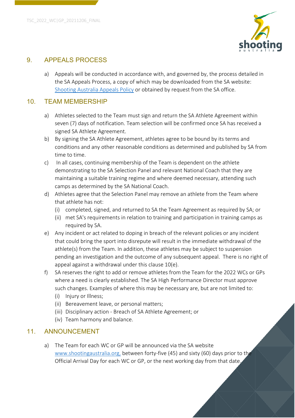

#### 9. APPEALS PROCESS

a) Appeals will be conducted in accordance with, and governed by, the process detailed in the SA Appeals Process, a copy of which may be downloaded from the SA website: Shooting Australia Appeals Policy or obtained by request from the SA office.

#### 10. TEAM MEMBERSHIP

- a) Athletes selected to the Team must sign and return the SA Athlete Agreement within seven (7) days of notification. Team selection will be confirmed once SA has received a signed SA Athlete Agreement.
- b) By signing the SA Athlete Agreement, athletes agree to be bound by its terms and conditions and any other reasonable conditions as determined and published by SA from time to time.
- c) In all cases, continuing membership of the Team is dependent on the athlete demonstrating to the SA Selection Panel and relevant National Coach that they are maintaining a suitable training regime and where deemed necessary, attending such camps as determined by the SA National Coach.
- d) Athletes agree that the Selection Panel may remove an athlete from the Team where that athlete has not:
	- (i) completed, signed, and returned to SA the Team Agreement as required by SA; or
	- (ii) met SA's requirements in relation to training and participation in training camps as required by SA.
- e) Any incident or act related to doping in breach of the relevant policies or any incident that could bring the sport into disrepute will result in the immediate withdrawal of the athlete(s) from the Team. In addition, these athletes may be subject to suspension pending an investigation and the outcome of any subsequent appeal. There is no right of appeal against a withdrawal under this clause 10(e).
- f) SA reserves the right to add or remove athletes from the Team for the 2022 WCs or GPs where a need is clearly established. The SA High Performance Director must approve such changes. Examples of where this may be necessary are, but are not limited to:
	- (i) Injury or Illness;
	- (ii) Bereavement leave, or personal matters;
	- (iii) Disciplinary action Breach of SA Athlete Agreement; or
	- (iv) Team harmony and balance.

#### 11. ANNOUNCEMENT

a) The Team for each WC or GP will be announced via the SA website www.shootingaustralia.org, between forty-five (45) and sixty (60) days prior to the Official Arrival Day for each WC or GP, or the next working day from that date.